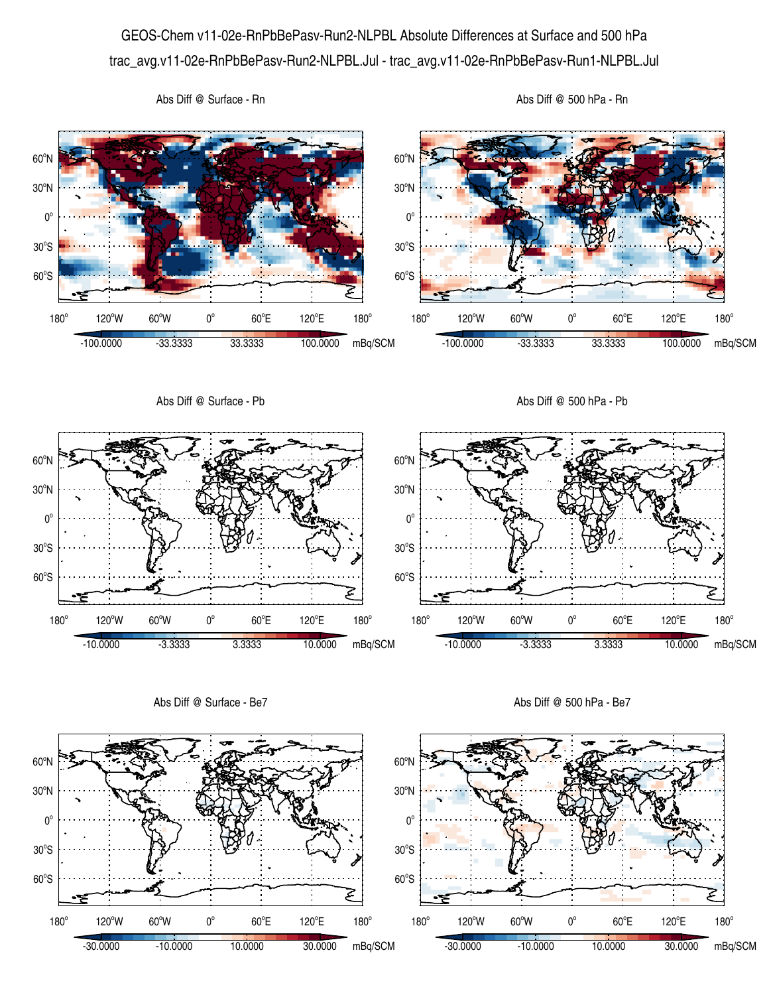## GEOS-Chem v11-02e-RnPbBePasv-Run2-NLPBL Absolute Differences at Surface and 500 hPa trac\_avg.v11-02e-RnPbBePasv-Run2-NLPBL.Jul - trac\_avg.v11-02e-RnPbBePasv-Run1-NLPBL.Jul



Abs Diff @ Surface - Be7

Abs Diff @ 500 hPa - Be7